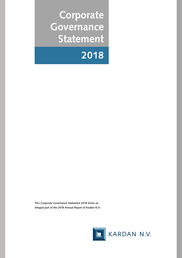**Corporate Governance Statement**



**This Corporate Governance Statement 2018 forms an integral part of the 2018 Annual Report of Kardan N.V.**

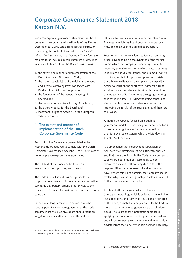# **Corporate Governance Statement 2018 Kardan N.V.**

Kardan's corporate governance statement<sup>1</sup> has been prepared in accordance with article 2a of the Decree of December 23, 2004, establishing further instructions concerning the content of annual reports *(Besluit inhoud bestuursverslag; the 'Decree')*. The information required to be included in this statement as described in articles 3, 3a and 3b of the Decree is as follows:

- 1. the extent and manner of implementation of the Dutch Corporate Governance Code;
- 2. the main characteristics of the risk management and internal control systems connected with Kardan's financial reporting process;
- 3. the functioning of the General Meeting of Shareholders;
- 4. the composition and functioning of the Board;
- 5. the diversity policy for the Board; and
- 6. statement in light of Article 10 of the European Takeover Directive.

# **1. The extent and manner of implementation of the Dutch Corporate Governance Code**

Pursuant to the Decree, companies listed in the Netherlands are required to comply with the Dutch Corporate Governance Code (the 'Code'), or in case of non-compliance explain the reason thereof.

The full text of the Code can be found on www.commissiecorporategovernance.nl.

The Code sets out sound business principles of corporate governance and contains certain normative standards that pertain, among other things, to the relationship between the various corporate bodies of a company.

In the Code, long-term value creation forms the starting point for corporate governance. The Code stipulates that the executive board should focus on long-term value creation, and take the stakeholder

interests that are relevant in this context into account. The way in which the Board puts this into practice must be explained in the annual board report.

Focusing on long-term value creation is an ongoing process. Depending on the dynamics of the market within which the Company is operating, it may be necessary to make short-term adjustments to strategy. Discussions about larger trends, and asking disruptive questions, will help keep the company on the right track. In some situations, a company may explicitly decide to focus on the short term. Kardan's current short and long term strategy is primarily focused on the repayment of its Debentures through generating cash by selling assets, assuring the going concern of Kardan, whilst continuing to also focus on further improving the results of the subsidiaries and therefore their value.

Although the Code is focused on a dualistic governance model (i.e. two-tier governance structure), it also provides guidelines for companies with a one-tier governance system, which are laid down in Chapter 5 of the Code.

It is emphasized that independent supervision by non-executive directors must be sufficiently ensured, and that those provisions in the Code which pertain to supervisory board members also apply to nonexecutive directors, without prejudice to the other responsibilities these non-executive directors may have. Where this is not possible, the Company should explain why it cannot apply such principle and relate it to the company-specific situation.

The Board attributes great value to clear and transparent reporting, which it believes to benefit all of its stakeholders, and fully endorses the main principle of the Code, namely that compliance with the Code is more a matter of tailored governance than checking boxes. The Board takes a pragmatic approach in applying the Code to its one-tier governance system and will consequently explain where and why Kardan deviates from the Code. When it is deemed necessary,

<sup>1</sup> Definitions used in this Corporate Governance Statement shall have the meaning as set out in Kardan's Annual Report 2018.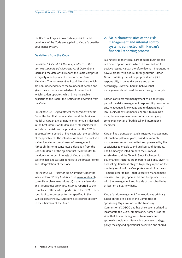the Board will explain how certain principles and provisions of the Code are applied to Kardan's one-tier governance system.

## **Deviations from the Code**

*Provision 2.1.7 and 2.1.8 – Independence of the non-executive Board Members:* As of December 31, 2018 and the date of this report, the Board comprises a majority of independent non-executive Board Members. The non-executive Board Members which are non-independent are the founders of Kardan and given their extensive knowledge of the sectors in which Kardan operates, which bring invaluable expertise to the Board, this justifies the deviation from the Code.

*Provision 2.2.1 – Appointment management board:* Given the fact that the operations and the business model of Kardan are by nature long term, it is deemed in the best interest of Kardan and its stakeholders to include in the Articles the provision that the CEO is appointed for a period of five years with the possibility of reappointment. The intention of this is to establish a stable, long-term commitment of management. Although this term constitutes a deviation from the Code, Kardan is of the opinion that it contributes to the (long-term) best interests of Kardan and its stakeholders and as such adheres to the broader sense and interpretation of the Code.

*Provision 2.3.6 – Tasks of the Chairman:* Under the Whistleblower Policy (published on www.kardan.nl) currently in place, (suspicions of) material misconduct and irregularities are in first instance reported to the compliance officer who reports this to the CEO. Under specific circumstances as further specified in the Whistleblower Policy, suspicions are reported directly to the Chairman of the Board.

# **2. Main characteristics of the risk management and internal control systems connected with Kardan's financial reporting process**

Taking risks is an integral part of doing business and can create opportunities which in turn can lead to positive results. Kardan therefore deems it important to have a proper 'risk culture' throughout the Kardan Group, entailing that all employees share a joint responsibility in being risk aware and acting accordingly. Likewise, Kardan believes that management should lead the way through example.

Kardan considers risk management to be an integral part of the daily management responsibility. In order to ensure adequate knowledge and understanding of local business environments, and thus to minimize risks, the management teams of all Kardan group companies consist of both local and international members.

Kardan has a transparent and structured management information system in place, based on monthly management reports submitted and presented by the subsidiaries to enable sound analyses and decisions. The Company is listed on both the Euronext Amsterdam and the Tel Aviv Stock Exchange. Its governance structures are therefore solid and, given its dual listing, Kardan is obliged to publicly report on the quarterly results of the Group. As a result, this means – among other things – that Executive Management discusses strategic, operational and budgetary issues with the management and boards of our subsidiaries at least on a quarterly basis.

Kardan's risk management framework was originally based on the principles of the Committee of Sponsoring Organizations of the Treadway Commission ('COSO') and has since been updated to incorporate the COSO frameworks. Kardan is of the view that its risk management framework and approach should constitute a link between strategy, policy-making and operational execution and should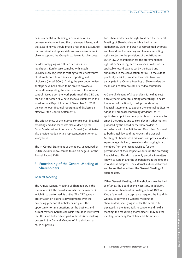be instrumental in obtaining a clear view on its business environment and the challenges it faces; and that accordingly it should provide reasonable assurance that sufficient and appropriate control measures are in place to support the Group in achieving its objectives.

Besides complying with Dutch Securities Law regulations, Kardan also complies with Israel's Securities Law regulations relating to the effectiveness of internal control over financial reporting and disclosure ('Israeli SOX'). During the year under review all steps have been taken to be able to provide a declaration regarding the effectiveness of the internal control. Based upon the work performed, the CEO and the CFO of Kardan N.V. have made a statement in the Israeli Annual Report that as of December 31, 2018 the control over financial reporting and disclosure is effective ('the Control Statement').

The effectiveness of the internal controls over financial reporting and disclosure was also audited by the Group's external auditors. Kardan's (main) subsidiaries also provide Kardan with a representation letter on a yearly basis.

The In-Control Statement of the Board, as required by Dutch Securities Law, can be found on page 43 of the Annual Report 2018.

# **3. Functioning of the General Meeting of Shareholders**

## **General Meeting**

The Annual General Meeting of Shareholders is the forum in which the Board accounts for the manner in which it has performed its duties. The CEO gives a presentation on business developments over the preceding year and shareholders are given the opportunity to raise questions on the business and current matters. Kardan considers it to be in its interest that the shareholders take part in the decision-making process in the General Meeting of Shareholders as much as possible.

Each shareholder has the right to attend the General Meeting of Shareholders which is held in the Netherlands, either in person or represented by proxy, and to address the meeting and to exercise voting rights subject to the provisions of the Articles and Dutch law. A shareholder has the aforementioned rights if he/she is registered as a shareholder on the applicable record date as set by the Board and announced in the convocation notice. To the extent practically feasible, investors located in Israel can participate in a General Meeting of Shareholders by means of a conference call or a video conference.

A General Meeting of Shareholders is held at least once a year in order to, among other things, discuss the report of the Board, to adopt the statutory financial statements, to appoint the external auditor, to adopt any proposal concerning dividends, to, if applicable, appoint and reappoint board members, to amend the Articles and to consider any other matters proposed by the Board or the shareholders in accordance with the Articles and Dutch law. Pursuant to both Dutch law and the Articles, the General Meeting of Shareholders discusses and passes, under a separate agenda item, resolutions discharging board members from their responsibilities for the performance of their respective duties in the preceding financial year. This discharge only pertains to matters known to Kardan and the shareholders at the time the resolution is adopted. The external auditor will attend and be entitled to address the General Meeting of Shareholders.

Other General Meetings of Shareholders may be held as often as the Board deems necessary. In addition, one or more shareholders holding at least 10% of Kardan's issued share capital can request the Board, in writing, to convene a General Meeting of Shareholders, specifying in detail the items to be discussed. If the Board fails to convene and hold a meeting, the requesting shareholder(s) may call the meeting, observing Dutch law and the Articles.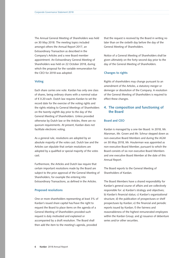The Annual General Meeting of Shareholders was held on 30 May 2018. The meeting topics included amongst others the Annual Report 2017, an Extraordinary Transaction as described in the Company's Articles and a new Board member appointment. An Extraordinary General Meeting of Shareholders was held on 22 October 2018, during which the proposal for the variable remuneration for the CEO for 2018 was adopted.

#### **Voting**

Each share carries one vote. Kardan has only one class of shares, being ordinary shares with a nominal value of € 0.20 each. Dutch law requires Kardan to set the record date for the exercise of the voting rights and the rights relating to General Meetings of Shareholders on the twenty-eighth day prior to the day of the General Meeting of Shareholders. Unless provided otherwise by Dutch law or the Articles, there are no quorum requirements. At present, Kardan does not facilitate electronic voting.

As a general rule, resolutions are adopted by an absolute majority of the votes cast. Dutch law and the Articles can stipulate that certain resolutions are adopted by a qualified or special majority of the votes cast.

Furthermore, the Articles and Dutch law require that certain important resolutions made by the Board are subject to the prior approval of the General Meeting of Shareholders, for example the entering into Extraordinary Transactions, as defined in the Articles.

## **Proposed resolutions**

One or more shareholders representing at least 3% of Kardan's issued share capital has/have the right to request the Board to place items on the agenda of a General Meeting of Shareholders provided such request is duly motivated and explained or accompanied by a draft resolution. The Board shall then add the item to the meeting's agenda, provided

that the request is received by the Board in writing no later than on the sixtieth day before the day of the General Meeting of Shareholders.

Notice of a General Meeting of Shareholders shall be given ultimately on the forty-second day prior to the day of the General Meeting of Shareholders.

## **Changes to rights**

Rights of shareholders may change pursuant to an amendment of the Articles, a statutory merger or demerger or dissolution of the Company. A resolution of the General Meeting of Shareholders is required to effect these changes.

# **4. The composition and functioning of the Board**

## **Board and CEO**

Kardan is managed by a one-tier Board. In 2018, Mr. Marsman, Mr. Groen and Mr. Schnur stepped down as non-executive Board Members and during the AGM on 30 May 2018, Mr. Houterman was appointed as non-executive Board Member, pursuant to which the Board consists of six non executive Board Members and one executive Board Member at the date of this Annual Report.

The Board reports to the General Meeting of Shareholders of Kardan.

The Board Members have a shared responsibility for Kardan's general course of affairs and are collectively responsible for: a) Kardan's strategy and objectives; b) Kardan's financial status; c) Kardan's organizational structure; d) the publication of prospectuses or shelf prospectuses by Kardan; e) the financial and periodic reports issued by Kardan; f) the fairness and reasonableness of the highest remunerated employees within the Kardan Group; and g) issuance of debenture series and/or other securities.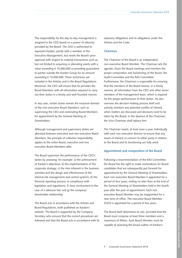The responsibility for the day-to-day management is assigned to the CEO based on a power of attorney provided by the Board. The CEO is authorized to represent Kardan, jointly with a member of the Executive Management, but needs the Board's prior approval with respect to material transactions such as, but not limited to acquiring or alienating assets with a value exceeding € 10,000,000 or providing guarantees to parties outside the Kardan Group for an amount exceeding € 10,000,000. These restrictions are included in the Articles and in the Board Regulations. Moreover, the CEO will ensure that he provides the Board Members with all information required to carry out their duties in a timely and well-founded manner.

In any case, certain duties remain the exclusive domain of the non-executive Board Members, such as supervising the CEO and nominating Board Members for appointment by the General Meeting of Shareholders.

Although management and supervisory duties are allocated between executive and non-executive Board Members, the principle of collective responsibility applies to the entire Board, executive and non executive Board Members alike.

The Board supervises the performance of the CEO's duties by assessing, for example: a) the achievement of Kardan's objectives; b) the implementation of the corporate strategy; c) the risks inherent in the business activities and the design and effectiveness of the internal risk management and control systems; d) the financial reporting process; e) compliance with legislation and regulations; f) close involvement in the case of a takeover bid; and g) the company/ shareholder relationship.

The Board acts in accordance with the Articles and Board Regulations, both published on Kardan's website. The Board is supported by the Company Secretary who ensures that the correct procedures are followed and that the Board acts in accordance with its statutory obligations and its obligations under the Articles and the Code.

## **Chairman**

The Chairman of the Board is an independent, non-executive Board Member. The Chairman sets the agenda, chairs the Board meetings and monitors the proper composition and functioning of the Board, the Audit Committee and the RAS Committee. Furthermore, the Chairman is responsible for ensuring that the members of the Board receive, in a timely manner, all information from the CEO and other senior members of the management team, which is required for the proper performance of their duties. He also oversees the decision-making process itself and actively monitors any potential conflict of interest when matters are discussed and decisions need to be taken by the Board. In the absence of the Chairman, the Vice-Chairman shall replace him.

The Chairman meets, at least once a year, individually with each non-executive director to ensure that any issues of interest or concern to either party in relation to the Board and its functioning are fully aired.

## **Appointment and composition of the Board**

Following a recommendation of the RAS Committee, the Board has the right to make nominations for Board candidates that are subsequently put forward for appointment by the General Meeting of Shareholders. Each non-executive Board Member is appointed for a period of four years, ending no later than at the end of the General Meeting of Shareholders held in the fourth year after the year of appointment. Each non executive Board Member may be reappointed for a new term of office. The executive Board Member (CEO) is appointed for a period of five years.

The Board itself determines its size, provided that the Board must comprise at least three members and a maximum of fifteen. Each Board Member must be capable of assessing the broad outline of Kardan's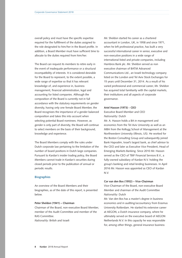overall policy and must have the specific expertise required for the fulfillment of the duties assigned to the role designated to him/her in the Board profile. In addition, a Board Member must have sufficient time to allocate to the duties required from him/her.

The Board can request its members to retire early in the event of inadequate performance or a structural incompatibility of interests. It is considered desirable for the Board to represent, to the extent possible, a wide range of expertise so that it has relevant knowledge of, and experience in, business management, financial administration, legal and accounting for listed companies. Although the composition of the Board is currently not in full accordance with the statutory requirements on gender diversity, having only one female Board Member, the Board recognizes the importance of a gender balanced composition and takes this into account when selecting potential Board nominees. However, as gender is only part of diversity, the Board will continue to select members on the basis of their background, knowledge and experience.

The Board Members comply with the rules under Dutch corporate law pertaining to the limitation of the number of board positions in Dutch large companies. Pursuant to Kardan's insider trading policy, the Board Members cannot trade in Kardan's securities during closed periods prior to the publication of annual or periodic results.

## **Biographies**

An overview of the Board Members and their biographies, as of the date of this report, is presented below.

## **Peter Sheldon (1941) – Chairman**

Chairman of the Board, non-executive Board Member, member of the Audit Committee and member of the RAS Committee.

*Nationality:* British and Israeli

Mr. Sheldon started his career as a chartered accountant in London, UK, in 1958 and since 1971, when he left professional practice, has built a very successful international career in senior, executive and non-executive positions in a wide range of international listed and private companies, including Hambros Bank plc. Mr. Sheldon served as non executive chairman of BATM Advanced Communications Ltd., an Israeli technology company listed on the London and Tel Aviv Stock Exchanges for 15 years until December 31, 2014. As a result of his varied professional and commercial career, Mr. Sheldon has acquired total familiarity with the capital markets, their institutions and all aspects of corporate governance.

#### **Ariel Hasson (1973) - CEO**

## Executive Board Member and CEO *Nationality:* Dutch

Mr. A. Hasson holds a BA in management and economics from the Tel Aviv University as well as an MBA from the Kellogg School of Management at the Northwestern University (Illinois, US). He worked for the Boston Consulting Group and subsequently joined Bank Hapoalim, Israel's largest bank, as chief advisor to the CEO and later as Executive Vice President, Head of Emerging Markets Banking. Since 2010 Mr. Hasson served as the CEO of TBIF Financial Services B.V., a fully-owned subsidiary of Kardan N.V. holding the group's banking and retail lending businesses. In April 2016 Mr. Hasson was appointed as CEO of Kardan N.V.

#### **Cor van den Bos (1952) – Vice-Chairman**

Vice-Chairman of the Board, non-executive Board Member and chairman of the Audit Committee *Nationality:* Dutch

Mr. Van den Bos has a master's degree in business economics and in auditing/accountancy from Erasmus University Rotterdam. He started his extensive career at AEGON, a Dutch insurance company, where he ultimately served on the executive board of AEGON Netherlands N.V. In this capacity he was responsible for, among other things, general insurance business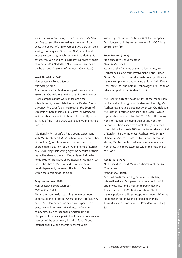lines, Life Insurance Bank, ICT, and finance. Mr. Van den Bos consecutively served as a member of the executive boards of Athlon Groep N.V., a Dutch listed leasing company and SNS Reaal N.V., a bank and insurance company, which became listed during his tenure. Mr. Van den Bos is currently supervisory board member at ASR Nederland N.V. (Vice – Chairman of the board and Chairman of the Audit Committee).

## **Yosef Grunfeld (1942)**

Non-executive Board Member *Nationality:* Israeli

After founding the Kardan group of companies in 1990, Mr. Grunfeld was active as a director in various Israeli companies that were or still are either subsidiaries of, or associated with the Kardan Group. Currently, Mr. Grunfeld is chairman of the Board of Directors of Kardan Israel Ltd., as well as Director in various other companies in Israel. He currently holds 17.17% of the issued share capital and voting rights of Kardan.

Additionally, Mr. Grunfeld has a voting agreement with Mr. Rechter and Mr. A. Schnur (a former member of the Board), which represents a combined total of approximately 33.15% of the voting rights of Kardan N.V. (excluding their voting rights on account of their respective shareholdings in Kardan Israel Ltd., which holds 10% of the issued share capital of Kardan N.V.). Given the above, Mr. Grunfeld is considered a non-independent, non-executive Board Member within the meaning of the Code.

#### **Ferry Houterman (1949)**

Non-executive Board Member *Nationality:* Dutch

Mr. Houterman holds a teaching degree business administration and the NIMA marketing certificates A and B. Mr. Houterman has extensive experience as executive and non-executive director of various companies, such as Rabobank Amsterdam and Hampshire Hotel Group. Mr. Houterman also serves as member of the supervisory board of Tahal Group International B.V. and therefore has valuable

knowledge of part of the business of the Company. Mr. Houterman is the current owner of HMC B.V., a consultancy firm.

## **Eytan Rechter (1949)**

Non-executive Board Member *Nationality:* Israeli

As one of the founders of the Kardan Group, Mr. Rechter has a long-term involvement in the Kardan Group. Mr. Rechter currently holds board positions in various companies including Kardan Israel Ltd., Kardan Real Estate Ltd. and Kardan Technologies Ltd. (none of which are part of the Kardan Group).

Mr. Rechter currently holds 1.51% of the issued share capital and voting rights of Kardan. Additionally, Mr. Rechter has a voting agreement with Mr. Grunfeld and Mr. Schnur (a former member of the Board), which represents a combined total of 33.15% of the voting rights of Kardan (excluding their voting rights on account of their respective shareholdings in Kardan Israel Ltd., which holds 10% of the issued share capital of Kardan). Furthermore, Mr. Rechter holds 94,137 Debentures Series B as issued by Kardan. Given the above, Mr. Rechter is considered a non independent, non-executive Board Member within the meaning of the Code.

#### **Cécile Tall (1967)**

Non-executive Board Member, chairman of the RAS **Committee** 

## *Nationality:* French

Mrs. Tall holds master degrees in corporate law, international and European law, as well as in public and private law, and a master degree in tax and finance from the ESCP Business School. She held various positions at Polyconcept Investments BV in the Netherlands and Polyconcept Holding in Paris. Currently she is a consultant at Poseidon Consulting SAS.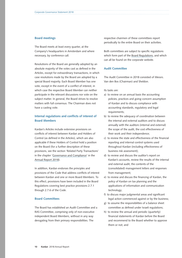## **Board meetings**

The Board meets at least every quarter, at the Company's headquarters in Amsterdam and where necessary, by conference call.

Resolutions of the Board are generally adopted by an absolute majority of the votes cast as defined in the Articles, except for extraordinary transactions, in which case resolutions made by the Board are adopted by a special Board majority. Each Board Member has one vote, except in the event of a conflict of interest, in which case the respective Board Member can neither participate in the relevant discussions nor vote on the subject matter. In general, the Board strives to resolve matters with full consensus. The Chairman does not have a casting vote.

# **Internal regulations and conflicts of interest of Board Members**

Kardan's Articles include extensive provisions on conflicts of interest between Kardan and Holders of Control (as defined in the Articles), which are also applicable if these Holders of Control hold a position on the Board (for a further description of these provisions, see the section 'Related Party Transactions' in the chapter 'Governance and Compliance' in the [Annual Report 2018\)](https://www.kardan.nl/images/annual-report/annual-reports/AR2018.pdf).

In addition, Kardan endorses the principles and provisions of the Code that address conflicts of interest between Kardan and one or more Board Members. To this effect, provisions have been included in the Board Regulations covering best practice provisions 2.7.1 through 2.7.6 of the Code.

## **Board Committees**

The Board has established an Audit Committee and a RAS Committee, comprising only of non-executive independent Board Members, without in any way derogating from their primary responsibilities. The

respective chairmen of these committees report periodically to the entire Board on their activities.

Both committees are subject to specific regulations which form part of the [Board Regulations](https://www.kardan.nl/about-kardan/governance-policies-documents), and which can all be found on the corporate website.

## **Audit Committee**

The Audit Committee in 2018 consisted of Messrs. Van den Bos (Chairman) and Sheldon.

Its tasks are:

- a) to review on an annual basis the accounting policies, practices and going-concern assumption of Kardan and to discuss compliance with accounting standards, regulatory and legal requirements;
- b) to review the adequacy of coordination between the internal and external auditors and to discuss annually with the auditors (internal and external) the scope of the audit, the cost effectiveness of their work and their independence;
- c) to review the state and effectiveness of the financial reporting and internal control systems used throughout Kardan (including effectiveness of business risk assessment);
- d) to review and discuss the auditor's report on Kardan's accounts, review the results of the internal and external audit, the contents of the (consolidated) management letters and responses from management;
- e) to review and discuss the financing of Kardan, the policy of Kardan on tax planning and the applications of information and communication technology;
- f) to discuss major judgmental areas and significant legal action commenced against or by the business;
- g) to assume the responsibilities of a balance sheet committee as defined under Israeli regulations;
- h) to review the annual and periodic (quarterly) financial statements of Kardan before the Board and recommend to the Board whether to approve them or not; and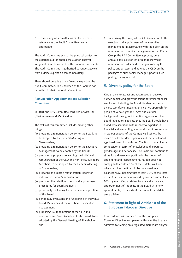i) to review any other matter within the terms of reference as the Audit Committee deems appropriate.

The Audit Committee acts as the principal contact for the external auditor, should the auditor discover irregularities in the content of the financial statements. The Audit Committee is authorized to request advice from outside experts if deemed necessary.

There should be at least one financial expert on the Audit Committee. The Chairman of the Board is not permitted to chair the Audit Committee.

# **Remuneration Appointment and Selection Committee**

In 2018, the RAS Committee consisted of Mrs. Tall (Chairwoman) and Mr. Sheldon.

The tasks of this committee include, among other things,

- (a) preparing a remuneration policy for the Board, to be adopted by the General Meeting of Shareholders;
- (b) preparing a remuneration policy for the Executive Management, to be adopted by the Board;
- (c) preparing a proposal concerning the individual remuneration of the CEO and non-executive Board Members, to be adopted by the General Meeting of Shareholders;
- (d) preparing the Board's remuneration report for inclusion in Kardan's annual report;
- (e) preparing the selection criteria and appointment procedures for Board Members;
- (f) periodically evaluating the scope and composition of the Board;
- (g) periodically evaluating the functioning of individual Board Members and the members of executive management;
- (h) proposing (re)appointment of the CEO and non-executive Board Members to the Board, to be adopted by the General Meeting of Shareholders; and

(i) supervising the policy of the CEO in relation to the selection and appointment of the executive management. In accordance with the policy on the remuneration of senior management of the Kardan Group, the RAS Committee approves, on an annual basis, a list of senior managers whose remuneration is deemed to be governed by the policy and assesses and advises the CEO on the packages of such senior managers prior to such package being offered.

# **5. Diversity policy for the Board**

Kardan aims to attract and retain people, develop human capital and grow the talent potential for all its employees, including the Board. Kardan pursues a diverse workforce, meaning an inclusive approach for people of various genders, ages and cultural background throughout its entire organization. The Board regulations stipulate that the Board should have broad representation with respect to expertise in financial and accounting areas and specific know-how in various aspects of the Company's business, be aware of relevant developments and that a balanced age breakdown is sought for. The Board has a diverse composition in terms of knowledge and expertise, gender, age and nationality. The Board will continue to strive for a diverse composition in the process of appointing and reappointment. Kardan does not comply with article 2:166 of the Dutch Civil Code, which requires the Board to be composed in a balanced way, meaning that at least 30% of the seats in the Board are to be occupied by women and at least 30% by men. Kardan strives to arrive at a balanced apportionment of the seats in the Board with new appointments, to the extent that suitable candidates are available.

# **6. Statement in light of Article 10 of the European Takeover Directive**

In accordance with Article 10 of the European Takeover Directive, companies with securities that are admitted to trading on a regulated market are obliged